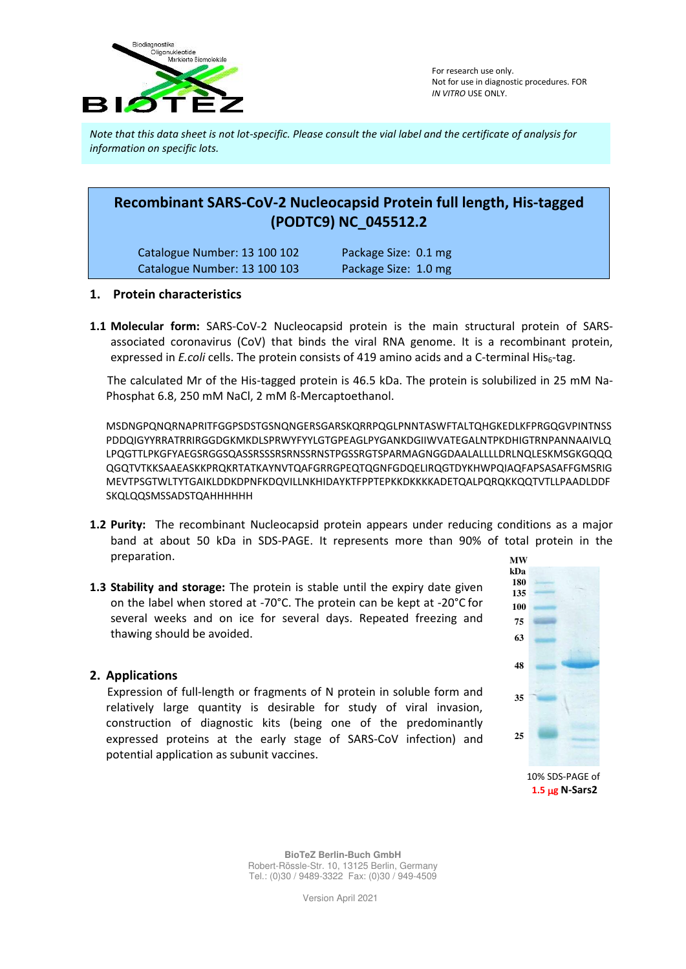

*Note that this data sheet is not lot-specific. Please consult the vial label and the certificate of analysis for information on specific lots.* 

# **Recombinant SARS-CoV-2 Nucleocapsid Protein full length, His-tagged (PODTC9) NC\_045512.2**

| Catalogue Number: 13 100 102 | Package Size: 0.1 mg |
|------------------------------|----------------------|
| Catalogue Number: 13 100 103 | Package Size: 1.0 mg |

#### **1. Protein characteristics**

**1.1 Molecular form:** SARS-CoV-2 Nucleocapsid protein is the main structural protein of SARSassociated coronavirus (CoV) that binds the viral RNA genome. It is a recombinant protein, expressed in *E.coli* cells. The protein consists of 419 amino acids and a C-terminal His<sub>6</sub>-tag.

 The calculated Mr of the His-tagged protein is 46.5 kDa. The protein is solubilized in 25 mM Na-Phosphat 6.8, 250 mM NaCl, 2 mM ß-Mercaptoethanol.

MSDNGPQNQRNAPRITFGGPSDSTGSNQNGERSGARSKQRRPQGLPNNTASWFTALTQHGKEDLKFPRGQGVPINTNSS PDDQIGYYRRATRRIRGGDGKMKDLSPRWYFYYLGTGPEAGLPYGANKDGIIWVATEGALNTPKDHIGTRNPANNAAIVLQ LPQGTTLPKGFYAEGSRGGSQASSRSSSRSRNSSRNSTPGSSRGTSPARMAGNGGDAALALLLLDRLNQLESKMSGKGQQQ QGQTVTKKSAAEASKKPRQKRTATKAYNVTQAFGRRGPEQTQGNFGDQELIRQGTDYKHWPQIAQFAPSASAFFGMSRIG MEVTPSGTWLTYTGAIKLDDKDPNFKDQVILLNKHIDAYKTFPPTEPKKDKKKKADETQALPQRQKKQQTVTLLPAADLDDF SKQLQQSMSSADSTQAHHHHHH

- **1.2 Purity:** The recombinant Nucleocapsid protein appears under reducing conditions as a major band at about 50 kDa in SDS-PAGE. It represents more than 90% of total protein in the preparation.
- **1.3 Stability and storage:** The protein is stable until the expiry date given on the label when stored at -70°C. The protein can be kept at -20°C for several weeks and on ice for several days. Repeated freezing and thawing should be avoided.

## **2. Applications**

 Expression of full-length or fragments of N protein in soluble form and relatively large quantity is desirable for study of viral invasion, construction of diagnostic kits (being one of the predominantly expressed proteins at the early stage of SARS-CoV infection) and potential application as subunit vaccines.



10% SDS-PAGE of **1.5 g N-Sars2**

**BioTeZ Berlin-Buch GmbH** Robert-Rössle-Str. 10, 13125 Berlin, Germany Tel.: (0)30 / 9489-3322 Fax: (0)30 / 949-4509

Version April 2021